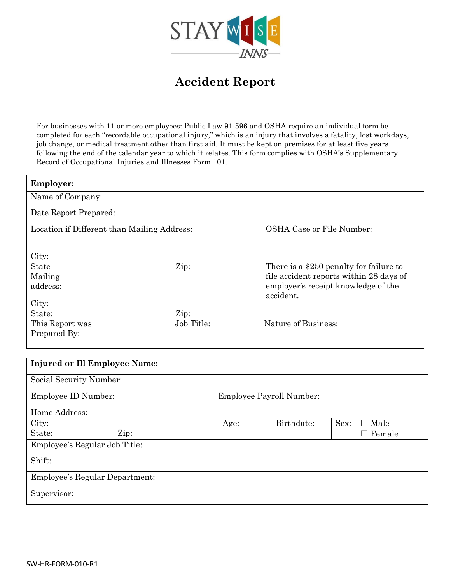

## **Accident Report**

**\_\_\_\_\_\_\_\_\_\_\_\_\_\_\_\_\_\_\_\_\_\_\_\_\_\_\_\_\_\_\_\_\_\_\_\_\_\_\_\_\_\_\_\_\_\_\_\_\_**

For businesses with 11 or more employees: Public Law 91-596 and OSHA require an individual form be completed for each "recordable occupational injury," which is an injury that involves a fatality, lost workdays, job change, or medical treatment other than first aid. It must be kept on premises for at least five years following the end of the calendar year to which it relates. This form complies with OSHA's Supplementary Record of Occupational Injuries and Illnesses Form 101.

| <b>Employer:</b>                            |  |            |  |                                                  |  |  |
|---------------------------------------------|--|------------|--|--------------------------------------------------|--|--|
| Name of Company:                            |  |            |  |                                                  |  |  |
| Date Report Prepared:                       |  |            |  |                                                  |  |  |
| Location if Different than Mailing Address: |  |            |  | <b>OSHA Case or File Number:</b>                 |  |  |
| City:                                       |  |            |  |                                                  |  |  |
| <b>State</b>                                |  | Zip:       |  | There is a \$250 penalty for failure to          |  |  |
| Mailing                                     |  |            |  | file accident reports within 28 days of          |  |  |
| address:                                    |  |            |  | employer's receipt knowledge of the<br>accident. |  |  |
| City:                                       |  |            |  |                                                  |  |  |
| State:                                      |  | Zip:       |  |                                                  |  |  |
| This Report was                             |  | Job Title: |  | Nature of Business:                              |  |  |
| Prepared By:                                |  |            |  |                                                  |  |  |

| <b>Injured or Ill Employee Name:</b> |                                 |            |                        |  |  |
|--------------------------------------|---------------------------------|------------|------------------------|--|--|
| Social Security Number:              |                                 |            |                        |  |  |
| Employee ID Number:                  | <b>Employee Payroll Number:</b> |            |                        |  |  |
| Home Address:                        |                                 |            |                        |  |  |
| City:                                | Age:                            | Birthdate: | Sex:<br>$\Box$ Male    |  |  |
| State:<br>Zip:                       |                                 |            | Female<br>$\mathsf{L}$ |  |  |
| Employee's Regular Job Title:        |                                 |            |                        |  |  |
| Shift:                               |                                 |            |                        |  |  |
| Employee's Regular Department:       |                                 |            |                        |  |  |
| Supervisor:                          |                                 |            |                        |  |  |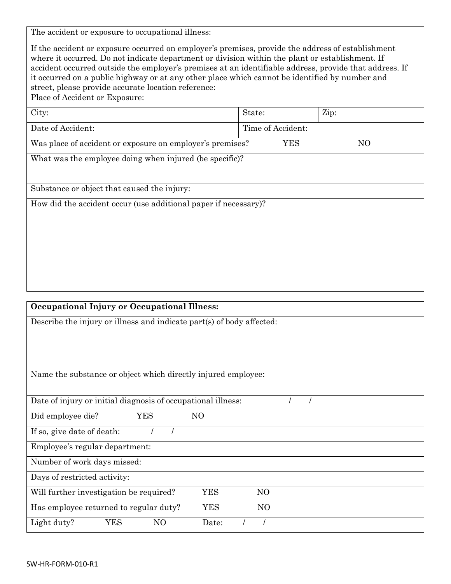The accident or exposure to occupational illness:

If the accident or exposure occurred on employer's premises, provide the address of establishment where it occurred. Do not indicate department or division within the plant or establishment. If accident occurred outside the employer's premises at an identifiable address, provide that address. If it occurred on a public highway or at any other place which cannot be identified by number and street, please provide accurate location reference:

Place of Accident or Exposure:

| City:             | State:            | Zip: |
|-------------------|-------------------|------|
| Date of Accident: | Time of Accident: |      |

Was place of accident or exposure on employer's premises? YES NO

What was the employee doing when injured (be specific)?

Substance or object that caused the injury:

How did the accident occur (use additional paper if necessary)?

| <b>Occupational Injury or Occupational Illness:</b>                    |  |  |  |  |  |  |
|------------------------------------------------------------------------|--|--|--|--|--|--|
| Describe the injury or illness and indicate part(s) of body affected:  |  |  |  |  |  |  |
|                                                                        |  |  |  |  |  |  |
|                                                                        |  |  |  |  |  |  |
|                                                                        |  |  |  |  |  |  |
| Name the substance or object which directly injured employee:          |  |  |  |  |  |  |
|                                                                        |  |  |  |  |  |  |
| Date of injury or initial diagnosis of occupational illness:           |  |  |  |  |  |  |
| NO<br>Did employee die?<br><b>YES</b>                                  |  |  |  |  |  |  |
| If so, give date of death:                                             |  |  |  |  |  |  |
| Employee's regular department:                                         |  |  |  |  |  |  |
| Number of work days missed:                                            |  |  |  |  |  |  |
| Days of restricted activity:                                           |  |  |  |  |  |  |
| <b>YES</b><br>NO<br>Will further investigation be required?            |  |  |  |  |  |  |
| <b>YES</b><br>N <sub>O</sub><br>Has employee returned to regular duty? |  |  |  |  |  |  |
| YES<br>N <sub>O</sub><br>Light duty?<br>Date:                          |  |  |  |  |  |  |